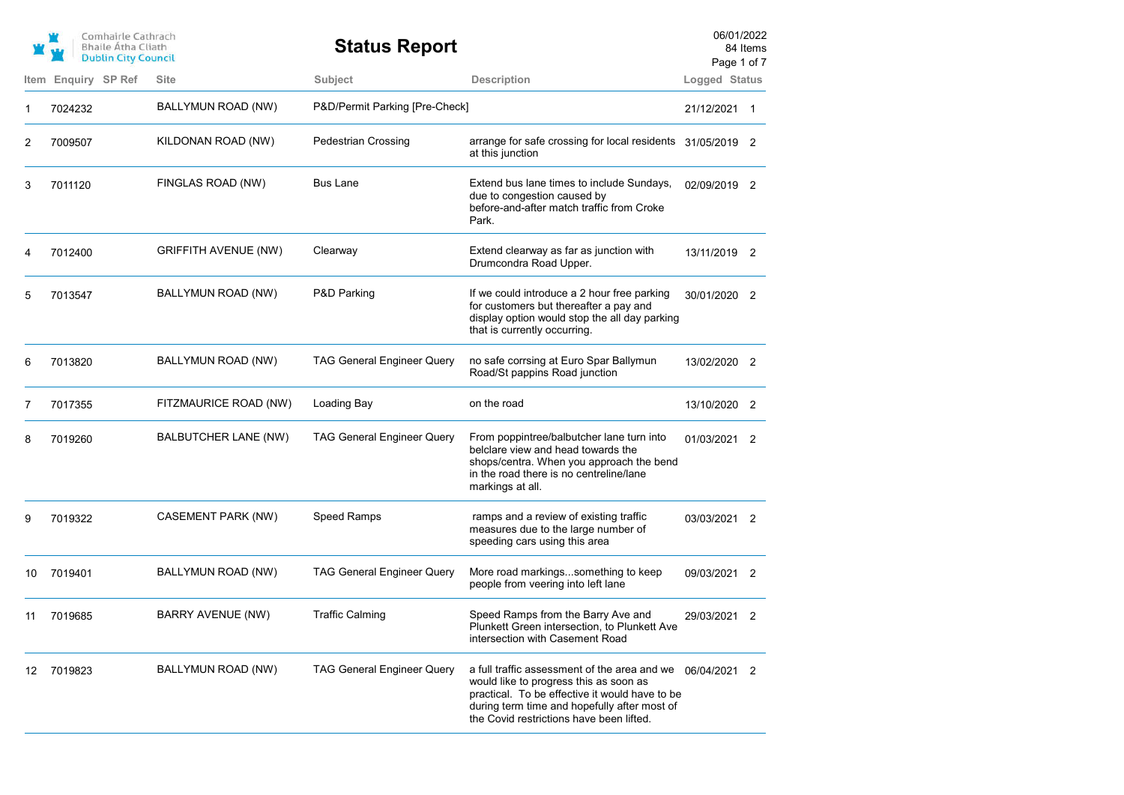|      | Comhairle Cathrach<br><b>Bhaile Átha Cliath</b><br><b>Dublin City Council</b> |                             | <b>Status Report</b>              |                                                                                                                                                                                                                                                     | 06/01/2022<br>Page 1 of 7 | 84 Items |
|------|-------------------------------------------------------------------------------|-----------------------------|-----------------------------------|-----------------------------------------------------------------------------------------------------------------------------------------------------------------------------------------------------------------------------------------------------|---------------------------|----------|
| Item | Enquiry SP Ref                                                                | <b>Site</b>                 | Subject                           | <b>Description</b>                                                                                                                                                                                                                                  | Logged Status             |          |
| 1    | 7024232                                                                       | BALLYMUN ROAD (NW)          | P&D/Permit Parking [Pre-Check]    |                                                                                                                                                                                                                                                     | 21/12/2021 1              |          |
| 2    | 7009507                                                                       | KILDONAN ROAD (NW)          | <b>Pedestrian Crossing</b>        | arrange for safe crossing for local residents 31/05/2019 2<br>at this junction                                                                                                                                                                      |                           |          |
| 3    | 7011120                                                                       | FINGLAS ROAD (NW)           | Bus Lane                          | Extend bus lane times to include Sundays,<br>due to congestion caused by<br>before-and-after match traffic from Croke<br>Park.                                                                                                                      | 02/09/2019 2              |          |
| 4    | 7012400                                                                       | <b>GRIFFITH AVENUE (NW)</b> | Clearway                          | Extend clearway as far as junction with<br>Drumcondra Road Upper.                                                                                                                                                                                   | 13/11/2019 2              |          |
| 5    | 7013547                                                                       | BALLYMUN ROAD (NW)          | P&D Parking                       | If we could introduce a 2 hour free parking<br>for customers but thereafter a pay and<br>display option would stop the all day parking<br>that is currently occurring.                                                                              | 30/01/2020 2              |          |
| 6    | 7013820                                                                       | BALLYMUN ROAD (NW)          | <b>TAG General Engineer Query</b> | no safe corrsing at Euro Spar Ballymun<br>Road/St pappins Road junction                                                                                                                                                                             | 13/02/2020 2              |          |
| 7    | 7017355                                                                       | FITZMAURICE ROAD (NW)       | Loading Bay                       | on the road                                                                                                                                                                                                                                         | 13/10/2020 2              |          |
| 8    | 7019260                                                                       | BALBUTCHER LANE (NW)        | <b>TAG General Engineer Query</b> | From poppintree/balbutcher lane turn into<br>belclare view and head towards the<br>shops/centra. When you approach the bend<br>in the road there is no centreline/lane<br>markings at all.                                                          | 01/03/2021 2              |          |
| 9    | 7019322                                                                       | CASEMENT PARK (NW)          | Speed Ramps                       | ramps and a review of existing traffic<br>measures due to the large number of<br>speeding cars using this area                                                                                                                                      | 03/03/2021 2              |          |
| 10   | 7019401                                                                       | BALLYMUN ROAD (NW)          | <b>TAG General Engineer Query</b> | More road markingssomething to keep<br>people from veering into left lane                                                                                                                                                                           | 09/03/2021 2              |          |
| 11   | 7019685                                                                       | BARRY AVENUE (NW)           | <b>Traffic Calming</b>            | Speed Ramps from the Barry Ave and<br>Plunkett Green intersection, to Plunkett Ave<br>intersection with Casement Road                                                                                                                               | 29/03/2021 2              |          |
| 12.  | 7019823                                                                       | BALLYMUN ROAD (NW)          | <b>TAG General Engineer Query</b> | a full traffic assessment of the area and we $06/04/2021$ 2<br>would like to progress this as soon as<br>practical. To be effective it would have to be<br>during term time and hopefully after most of<br>the Covid restrictions have been lifted. |                           |          |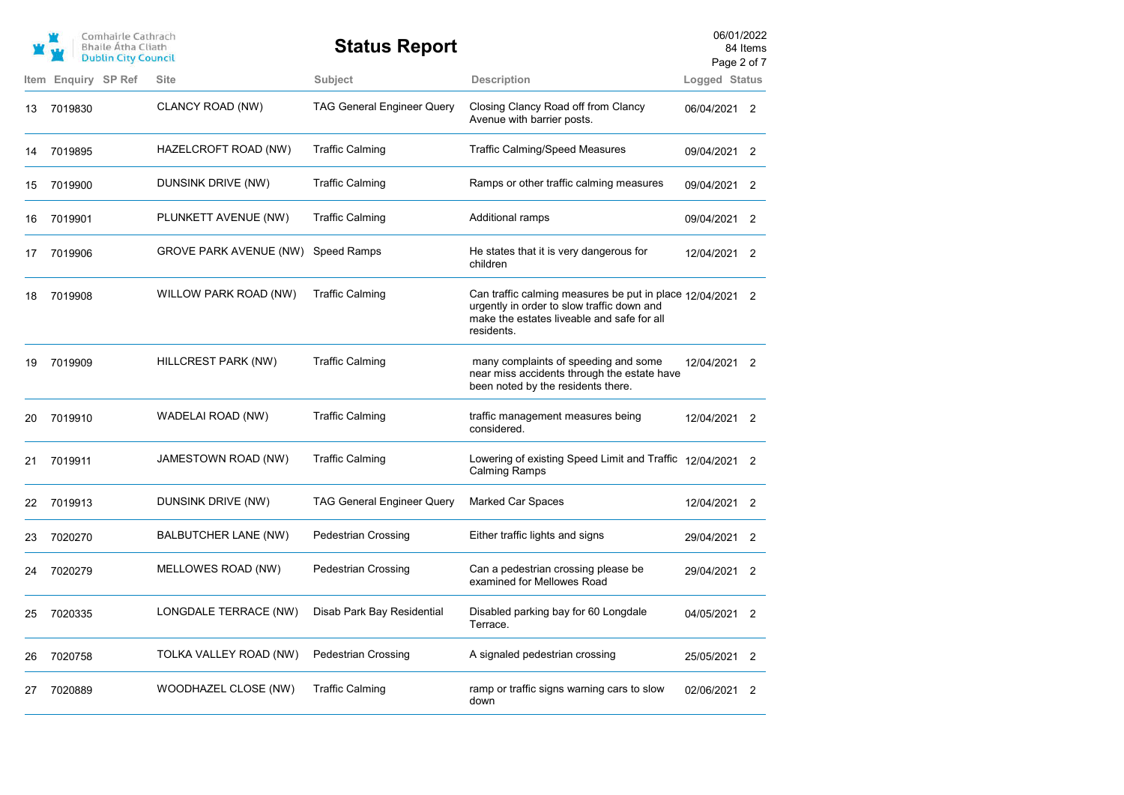|      | Comhairle Cathrach<br><b>Bhaile Atha Cliath</b><br><b>Dublin City Council</b> |                               | <b>Status Report</b>              |                                                                                                                                                                     | 06/01/2022<br>Page 2 of 7 | 84 Items       |
|------|-------------------------------------------------------------------------------|-------------------------------|-----------------------------------|---------------------------------------------------------------------------------------------------------------------------------------------------------------------|---------------------------|----------------|
| Item | Enquiry SP Ref                                                                | <b>Site</b>                   | <b>Subject</b>                    | <b>Description</b>                                                                                                                                                  | Logged Status             |                |
| 13   | 7019830                                                                       | CLANCY ROAD (NW)              | <b>TAG General Engineer Query</b> | Closing Clancy Road off from Clancy<br>Avenue with barrier posts.                                                                                                   | 06/04/2021 2              |                |
| 14   | 7019895                                                                       | HAZELCROFT ROAD (NW)          | <b>Traffic Calming</b>            | <b>Traffic Calming/Speed Measures</b>                                                                                                                               | 09/04/2021 2              |                |
| 15   | 7019900                                                                       | DUNSINK DRIVE (NW)            | <b>Traffic Calming</b>            | Ramps or other traffic calming measures                                                                                                                             | 09/04/2021                | -2             |
| 16   | 7019901                                                                       | PLUNKETT AVENUE (NW)          | <b>Traffic Calming</b>            | <b>Additional ramps</b>                                                                                                                                             | 09/04/2021                | 2              |
| 17   | 7019906                                                                       | <b>GROVE PARK AVENUE (NW)</b> | Speed Ramps                       | He states that it is very dangerous for<br>children                                                                                                                 | 12/04/2021 2              |                |
| 18   | 7019908                                                                       | WILLOW PARK ROAD (NW)         | <b>Traffic Calming</b>            | Can traffic calming measures be put in place 12/04/2021 2<br>urgently in order to slow traffic down and<br>make the estates liveable and safe for all<br>residents. |                           |                |
| 19   | 7019909                                                                       | HILLCREST PARK (NW)           | <b>Traffic Calming</b>            | many complaints of speeding and some<br>near miss accidents through the estate have<br>been noted by the residents there.                                           | 12/04/2021 2              |                |
| 20   | 7019910                                                                       | WADELAI ROAD (NW)             | <b>Traffic Calming</b>            | traffic management measures being<br>considered.                                                                                                                    | 12/04/2021 2              |                |
| 21   | 7019911                                                                       | JAMESTOWN ROAD (NW)           | <b>Traffic Calming</b>            | Lowering of existing Speed Limit and Traffic 12/04/2021 2<br><b>Calming Ramps</b>                                                                                   |                           |                |
| 22   | 7019913                                                                       | DUNSINK DRIVE (NW)            | <b>TAG General Engineer Query</b> | <b>Marked Car Spaces</b>                                                                                                                                            | 12/04/2021                | -2             |
| 23   | 7020270                                                                       | BALBUTCHER LANE (NW)          | <b>Pedestrian Crossing</b>        | Either traffic lights and signs                                                                                                                                     | 29/04/2021                | $\overline{2}$ |
| 24   | 7020279                                                                       | MELLOWES ROAD (NW)            | <b>Pedestrian Crossing</b>        | Can a pedestrian crossing please be<br>examined for Mellowes Road                                                                                                   | 29/04/2021                | -2             |
| 25   | 7020335                                                                       | LONGDALE TERRACE (NW)         | Disab Park Bay Residential        | Disabled parking bay for 60 Longdale<br>Terrace.                                                                                                                    | 04/05/2021                | -2             |
| 26   | 7020758                                                                       | TOLKA VALLEY ROAD (NW)        | <b>Pedestrian Crossing</b>        | A signaled pedestrian crossing                                                                                                                                      | 25/05/2021 2              |                |
| 27   | 7020889                                                                       | WOODHAZEL CLOSE (NW)          | <b>Traffic Calming</b>            | ramp or traffic signs warning cars to slow<br>down                                                                                                                  | 02/06/2021                | $\overline{2}$ |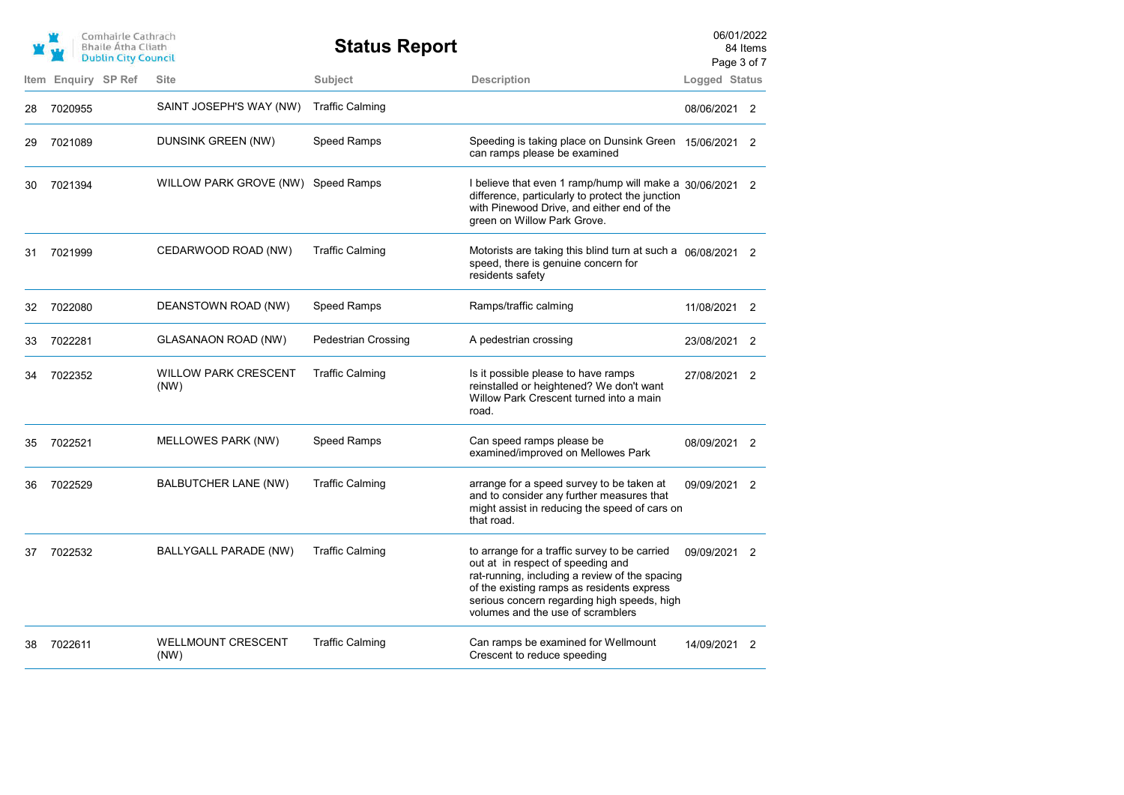|    | Comhairle Cathrach<br><b>Bhaile Atha Cliath</b><br><b>Dublin City Council</b> |                                     | <b>Status Report</b>       |                                                                                                                                                                                                                                                                        | 06/01/2022<br>Page 3 of 7 | 84 Items       |
|----|-------------------------------------------------------------------------------|-------------------------------------|----------------------------|------------------------------------------------------------------------------------------------------------------------------------------------------------------------------------------------------------------------------------------------------------------------|---------------------------|----------------|
|    | Item Enquiry SP Ref                                                           | <b>Site</b>                         | Subject                    | <b>Description</b>                                                                                                                                                                                                                                                     | Logged Status             |                |
| 28 | 7020955                                                                       | SAINT JOSEPH'S WAY (NW)             | <b>Traffic Calming</b>     |                                                                                                                                                                                                                                                                        | 08/06/2021 2              |                |
| 29 | 7021089                                                                       | DUNSINK GREEN (NW)                  | <b>Speed Ramps</b>         | Speeding is taking place on Dunsink Green 15/06/2021 2<br>can ramps please be examined                                                                                                                                                                                 |                           |                |
| 30 | 7021394                                                                       | WILLOW PARK GROVE (NW) Speed Ramps  |                            | I believe that even 1 ramp/hump will make a 30/06/2021 2<br>difference, particularly to protect the junction<br>with Pinewood Drive, and either end of the<br>green on Willow Park Grove.                                                                              |                           |                |
| 31 | 7021999                                                                       | CEDARWOOD ROAD (NW)                 | <b>Traffic Calming</b>     | Motorists are taking this blind turn at such a 06/08/2021 2<br>speed, there is genuine concern for<br>residents safety                                                                                                                                                 |                           |                |
| 32 | 7022080                                                                       | DEANSTOWN ROAD (NW)                 | Speed Ramps                | Ramps/traffic calming                                                                                                                                                                                                                                                  | 11/08/2021                | $\overline{2}$ |
| 33 | 7022281                                                                       | GLASANAON ROAD (NW)                 | <b>Pedestrian Crossing</b> | A pedestrian crossing                                                                                                                                                                                                                                                  | 23/08/2021 2              |                |
| 34 | 7022352                                                                       | <b>WILLOW PARK CRESCENT</b><br>(NW) | <b>Traffic Calming</b>     | Is it possible please to have ramps<br>reinstalled or heightened? We don't want<br>Willow Park Crescent turned into a main<br>road.                                                                                                                                    | 27/08/2021 2              |                |
| 35 | 7022521                                                                       | MELLOWES PARK (NW)                  | Speed Ramps                | Can speed ramps please be<br>examined/improved on Mellowes Park                                                                                                                                                                                                        | 08/09/2021 2              |                |
| 36 | 7022529                                                                       | BALBUTCHER LANE (NW)                | <b>Traffic Calming</b>     | arrange for a speed survey to be taken at<br>and to consider any further measures that<br>might assist in reducing the speed of cars on<br>that road.                                                                                                                  | 09/09/2021 2              |                |
| 37 | 7022532                                                                       | BALLYGALL PARADE (NW)               | <b>Traffic Calming</b>     | to arrange for a traffic survey to be carried<br>out at in respect of speeding and<br>rat-running, including a review of the spacing<br>of the existing ramps as residents express<br>serious concern regarding high speeds, high<br>volumes and the use of scramblers | 09/09/2021 2              |                |
| 38 | 7022611                                                                       | <b>WELLMOUNT CRESCENT</b><br>(NW)   | <b>Traffic Calming</b>     | Can ramps be examined for Wellmount<br>Crescent to reduce speeding                                                                                                                                                                                                     | 14/09/2021 2              |                |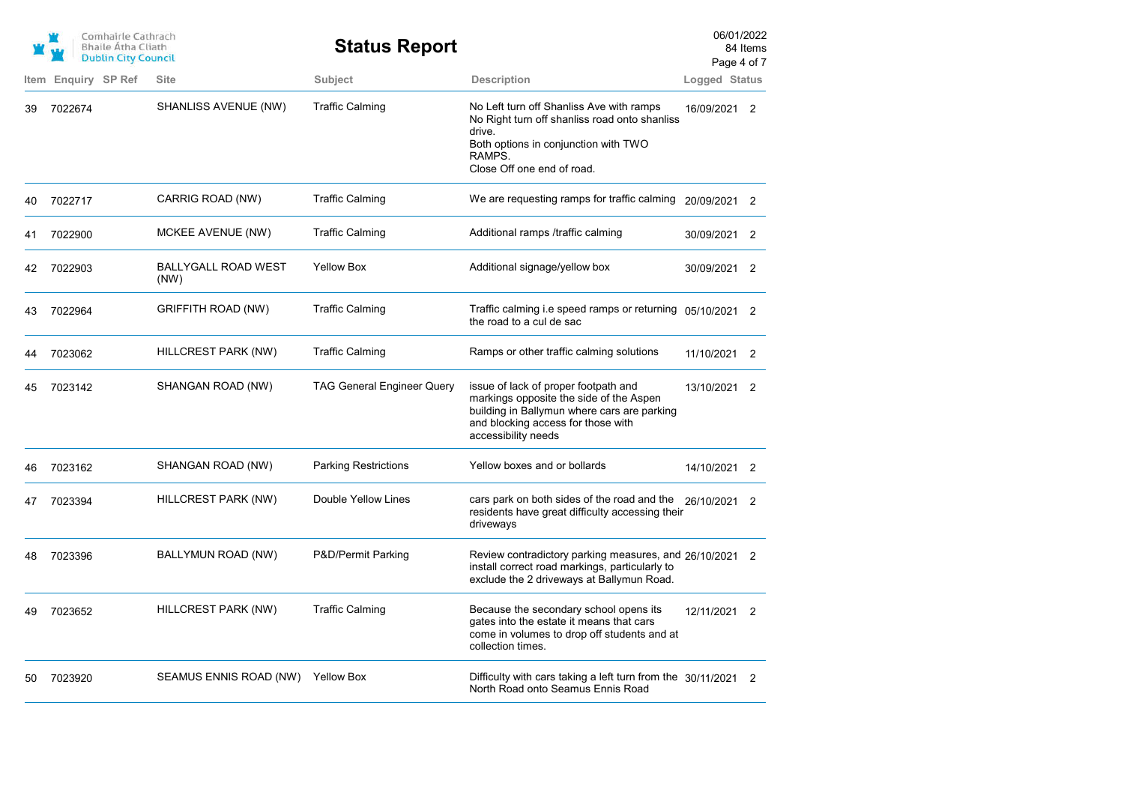|      | Comhairle Cathrach<br><b>Bhaile Atha Cliath</b><br><b>Dublin City Council</b> |                             | <b>Status Report</b>              |                                                                                                                                                                                             | 06/01/2022<br>Page 4 of 7 | 84 Items       |
|------|-------------------------------------------------------------------------------|-----------------------------|-----------------------------------|---------------------------------------------------------------------------------------------------------------------------------------------------------------------------------------------|---------------------------|----------------|
| Item | Enquiry SP Ref                                                                | <b>Site</b>                 | Subject                           | <b>Description</b>                                                                                                                                                                          | Logged Status             |                |
| 39   | 7022674                                                                       | SHANLISS AVENUE (NW)        | <b>Traffic Calming</b>            | No Left turn off Shanliss Ave with ramps<br>No Right turn off shanliss road onto shanliss<br>drive.<br>Both options in conjunction with TWO<br>RAMPS.<br>Close Off one end of road.         | 16/09/2021                | $\overline{2}$ |
| 40   | 7022717                                                                       | CARRIG ROAD (NW)            | <b>Traffic Calming</b>            | We are requesting ramps for traffic calming 20/09/2021 2                                                                                                                                    |                           |                |
| 41   | 7022900                                                                       | MCKEE AVENUE (NW)           | <b>Traffic Calming</b>            | Additional ramps /traffic calming                                                                                                                                                           | 30/09/2021                | $\overline{2}$ |
| 42   | 7022903                                                                       | BALLYGALL ROAD WEST<br>(NW) | <b>Yellow Box</b>                 | Additional signage/yellow box                                                                                                                                                               | 30/09/2021 2              |                |
| 43   | 7022964                                                                       | GRIFFITH ROAD (NW)          | <b>Traffic Calming</b>            | Traffic calming i.e speed ramps or returning 05/10/2021 2<br>the road to a cul de sac                                                                                                       |                           |                |
| 44   | 7023062                                                                       | HILLCREST PARK (NW)         | <b>Traffic Calming</b>            | Ramps or other traffic calming solutions                                                                                                                                                    | 11/10/2021                | $\overline{2}$ |
| 45   | 7023142                                                                       | SHANGAN ROAD (NW)           | <b>TAG General Engineer Query</b> | issue of lack of proper footpath and<br>markings opposite the side of the Aspen<br>building in Ballymun where cars are parking<br>and blocking access for those with<br>accessibility needs | 13/10/2021                | 2              |
| 46   | 7023162                                                                       | SHANGAN ROAD (NW)           | <b>Parking Restrictions</b>       | Yellow boxes and or bollards                                                                                                                                                                | 14/10/2021 2              |                |
| 47   | 7023394                                                                       | HILLCREST PARK (NW)         | Double Yellow Lines               | cars park on both sides of the road and the 26/10/2021 2<br>residents have great difficulty accessing their<br>driveways                                                                    |                           |                |
| 48   | 7023396                                                                       | BALLYMUN ROAD (NW)          | P&D/Permit Parking                | Review contradictory parking measures, and 26/10/2021 2<br>install correct road markings, particularly to<br>exclude the 2 driveways at Ballymun Road.                                      |                           |                |
| 49   | 7023652                                                                       | HILLCREST PARK (NW)         | <b>Traffic Calming</b>            | Because the secondary school opens its<br>gates into the estate it means that cars<br>come in volumes to drop off students and at<br>collection times.                                      | 12/11/2021                | $\overline{2}$ |
| 50   | 7023920                                                                       | SEAMUS ENNIS ROAD (NW)      | <b>Yellow Box</b>                 | Difficulty with cars taking a left turn from the 30/11/2021<br>North Road onto Seamus Ennis Road                                                                                            |                           | $\overline{2}$ |
|      |                                                                               |                             |                                   |                                                                                                                                                                                             |                           |                |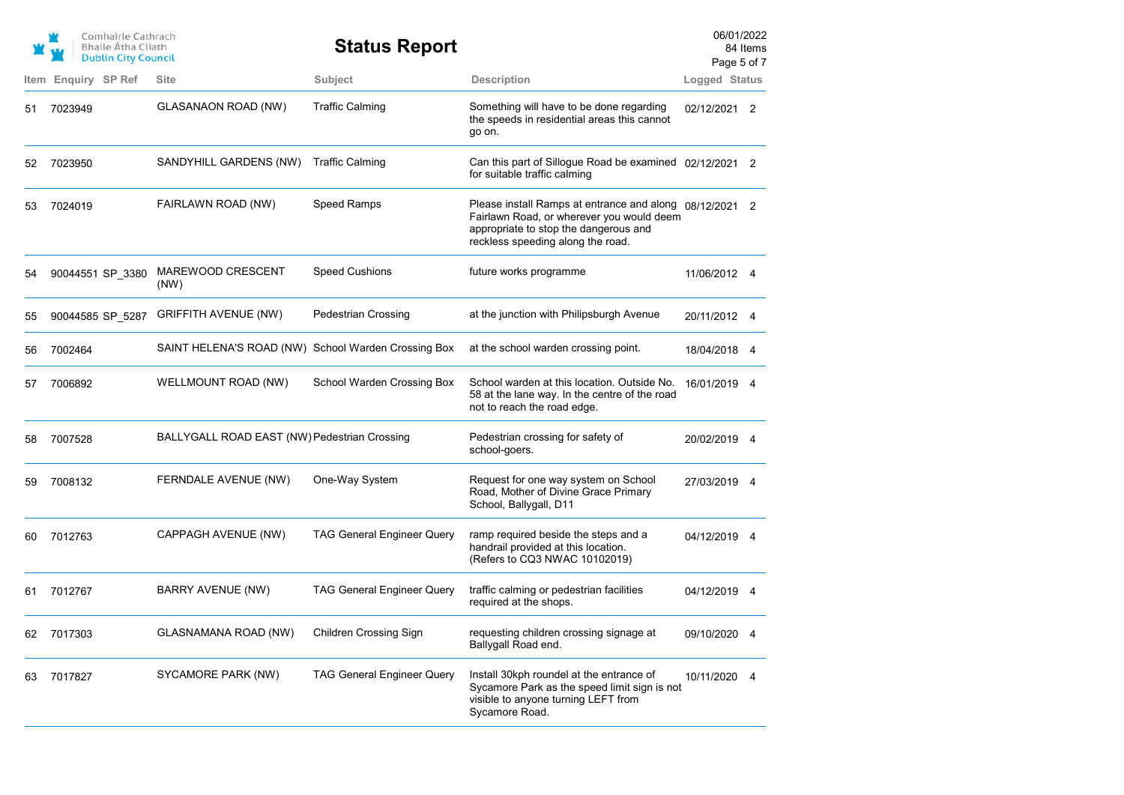|      | Comhairle Cathrach<br><b>Bhaile Atha Cliath</b><br><b>Dublin City Council</b> |                                                     | <b>Status Report</b>              |                                                                                                                                                                                    | 06/01/2022<br>Page 5 of 7 | 84 Items |
|------|-------------------------------------------------------------------------------|-----------------------------------------------------|-----------------------------------|------------------------------------------------------------------------------------------------------------------------------------------------------------------------------------|---------------------------|----------|
| Item | Enquiry SP Ref                                                                | <b>Site</b>                                         | Subject                           | <b>Description</b>                                                                                                                                                                 | Logged Status             |          |
| 51   | 7023949                                                                       | <b>GLASANAON ROAD (NW)</b>                          | <b>Traffic Calming</b>            | Something will have to be done regarding<br>the speeds in residential areas this cannot<br>go on.                                                                                  | 02/12/2021 2              |          |
| 52   | 7023950                                                                       | SANDYHILL GARDENS (NW)                              | <b>Traffic Calming</b>            | Can this part of Sillogue Road be examined 02/12/2021 2<br>for suitable traffic calming                                                                                            |                           |          |
| 53   | 7024019                                                                       | FAIRLAWN ROAD (NW)                                  | <b>Speed Ramps</b>                | Please install Ramps at entrance and along 08/12/2021 2<br>Fairlawn Road, or wherever you would deem<br>appropriate to stop the dangerous and<br>reckless speeding along the road. |                           |          |
| 54   | 90044551 SP_3380                                                              | MAREWOOD CRESCENT<br>(NW)                           | <b>Speed Cushions</b>             | future works programme                                                                                                                                                             | 11/06/2012 4              |          |
| 55   | 90044585 SP_5287                                                              | <b>GRIFFITH AVENUE (NW)</b>                         | <b>Pedestrian Crossing</b>        | at the junction with Philipsburgh Avenue                                                                                                                                           | 20/11/2012 4              |          |
| 56   | 7002464                                                                       | SAINT HELENA'S ROAD (NW) School Warden Crossing Box |                                   | at the school warden crossing point.                                                                                                                                               | 18/04/2018 4              |          |
| 57   | 7006892                                                                       | WELLMOUNT ROAD (NW)                                 | School Warden Crossing Box        | School warden at this location. Outside No.<br>58 at the lane way. In the centre of the road<br>not to reach the road edge.                                                        | 16/01/2019 4              |          |
| 58   | 7007528                                                                       | BALLYGALL ROAD EAST (NW) Pedestrian Crossing        |                                   | Pedestrian crossing for safety of<br>school-goers.                                                                                                                                 | 20/02/2019 4              |          |
| 59   | 7008132                                                                       | FERNDALE AVENUE (NW)                                | One-Way System                    | Request for one way system on School<br>Road, Mother of Divine Grace Primary<br>School, Ballygall, D11                                                                             | 27/03/2019 4              |          |
| 60   | 7012763                                                                       | CAPPAGH AVENUE (NW)                                 | <b>TAG General Engineer Query</b> | ramp required beside the steps and a<br>handrail provided at this location.<br>(Refers to CQ3 NWAC 10102019)                                                                       | 04/12/2019 4              |          |
| 61   | 7012767                                                                       | BARRY AVENUE (NW)                                   | <b>TAG General Engineer Query</b> | traffic calming or pedestrian facilities<br>required at the shops.                                                                                                                 | 04/12/2019                | -4       |
| 62   | 7017303                                                                       | GLASNAMANA ROAD (NW)                                | <b>Children Crossing Sign</b>     | requesting children crossing signage at<br>Ballygall Road end.                                                                                                                     | 09/10/2020 4              |          |
| 63   | 7017827                                                                       | SYCAMORE PARK (NW)                                  | <b>TAG General Engineer Query</b> | Install 30kph roundel at the entrance of<br>Sycamore Park as the speed limit sign is not<br>visible to anyone turning LEFT from<br>Sycamore Road.                                  | 10/11/2020 4              |          |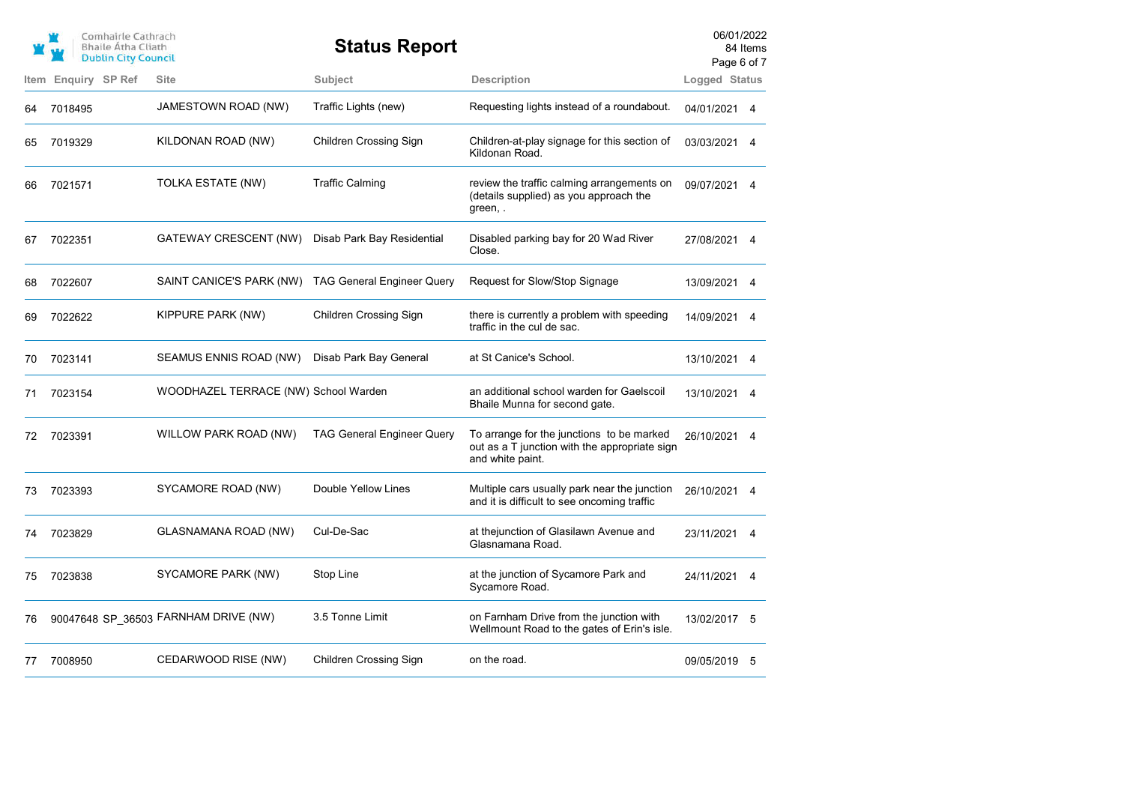|      | Comhairle Cathrach<br><b>Bhaile Atha Cliath</b><br><b>Dublin City Council</b> |                                      | <b>Status Report</b>              |                                                                                                                | 06/01/2022<br>Page 6 of 7 | 84 Items |
|------|-------------------------------------------------------------------------------|--------------------------------------|-----------------------------------|----------------------------------------------------------------------------------------------------------------|---------------------------|----------|
| Item | <b>Enquiry SP Ref</b>                                                         | <b>Site</b>                          | Subject                           | <b>Description</b>                                                                                             | Logged Status             |          |
| 64   | 7018495                                                                       | JAMESTOWN ROAD (NW)                  | Traffic Lights (new)              | Requesting lights instead of a roundabout.                                                                     | 04/01/2021 4              |          |
| 65   | 7019329                                                                       | KILDONAN ROAD (NW)                   | <b>Children Crossing Sign</b>     | Children-at-play signage for this section of<br>Kildonan Road.                                                 | 03/03/2021 4              |          |
| 66   | 7021571                                                                       | TOLKA ESTATE (NW)                    | <b>Traffic Calming</b>            | review the traffic calming arrangements on<br>(details supplied) as you approach the<br>green,.                | 09/07/2021 4              |          |
| 67   | 7022351                                                                       | GATEWAY CRESCENT (NW)                | Disab Park Bay Residential        | Disabled parking bay for 20 Wad River<br>Close.                                                                | 27/08/2021 4              |          |
| 68   | 7022607                                                                       | SAINT CANICE'S PARK (NW)             | <b>TAG General Engineer Query</b> | Request for Slow/Stop Signage                                                                                  | 13/09/2021 4              |          |
| 69   | 7022622                                                                       | KIPPURE PARK (NW)                    | <b>Children Crossing Sign</b>     | there is currently a problem with speeding<br>traffic in the cul de sac.                                       | 14/09/2021 4              |          |
| 70   | 7023141                                                                       | SEAMUS ENNIS ROAD (NW)               | Disab Park Bay General            | at St Canice's School.                                                                                         | 13/10/2021                | -4       |
| 71   | 7023154                                                                       | WOODHAZEL TERRACE (NW) School Warden |                                   | an additional school warden for Gaelscoil<br>Bhaile Munna for second gate.                                     | 13/10/2021 4              |          |
| 72   | 7023391                                                                       | WILLOW PARK ROAD (NW)                | <b>TAG General Engineer Query</b> | To arrange for the junctions to be marked<br>out as a T junction with the appropriate sign<br>and white paint. | 26/10/2021 4              |          |
| 73   | 7023393                                                                       | SYCAMORE ROAD (NW)                   | Double Yellow Lines               | Multiple cars usually park near the junction<br>and it is difficult to see oncoming traffic                    | 26/10/2021 4              |          |
| 74   | 7023829                                                                       | <b>GLASNAMANA ROAD (NW)</b>          | Cul-De-Sac                        | at thejunction of Glasilawn Avenue and<br>Glasnamana Road.                                                     | 23/11/2021                | -4       |
| 75   | 7023838                                                                       | SYCAMORE PARK (NW)                   | Stop Line                         | at the junction of Sycamore Park and<br>Sycamore Road.                                                         | 24/11/2021                | 4        |
| 76   |                                                                               | 90047648 SP_36503 FARNHAM DRIVE (NW) | 3.5 Tonne Limit                   | on Farnham Drive from the junction with<br>Wellmount Road to the gates of Erin's isle.                         | 13/02/2017                | - 5      |
| 77   | 7008950                                                                       | CEDARWOOD RISE (NW)                  | <b>Children Crossing Sign</b>     | on the road.                                                                                                   | 09/05/2019 5              |          |